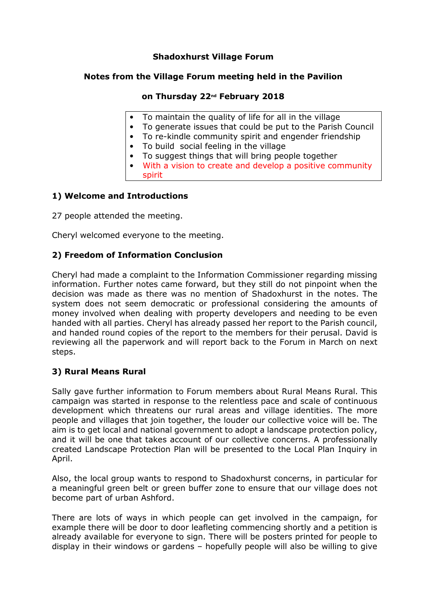## **Shadoxhurst Village Forum**

#### **Notes from the Village Forum meeting held in the Pavilion**

## **on Thursday 22nd February 2018**

- To maintain the quality of life for all in the village
- To generate issues that could be put to the Parish Council
- To re-kindle community spirit and engender friendship
- To build social feeling in the village
- To suggest things that will bring people together
- With a vision to create and develop a positive community spirit

## **1) Welcome and Introductions**

27 people attended the meeting.

Cheryl welcomed everyone to the meeting.

#### **2) Freedom of Information Conclusion**

Cheryl had made a complaint to the Information Commissioner regarding missing information. Further notes came forward, but they still do not pinpoint when the decision was made as there was no mention of Shadoxhurst in the notes. The system does not seem democratic or professional considering the amounts of money involved when dealing with property developers and needing to be even handed with all parties. Cheryl has already passed her report to the Parish council, and handed round copies of the report to the members for their perusal. David is reviewing all the paperwork and will report back to the Forum in March on next steps.

#### **3) Rural Means Rural**

Sally gave further information to Forum members about Rural Means Rural. This campaign was started in response to the relentless pace and scale of continuous development which threatens our rural areas and village identities. The more people and villages that join together, the louder our collective voice will be. The aim is to get local and national government to adopt a landscape protection policy, and it will be one that takes account of our collective concerns. A professionally created Landscape Protection Plan will be presented to the Local Plan Inquiry in April.

Also, the local group wants to respond to Shadoxhurst concerns, in particular for a meaningful green belt or green buffer zone to ensure that our village does not become part of urban Ashford.

There are lots of ways in which people can get involved in the campaign, for example there will be door to door leafleting commencing shortly and a petition is already available for everyone to sign. There will be posters printed for people to display in their windows or gardens – hopefully people will also be willing to give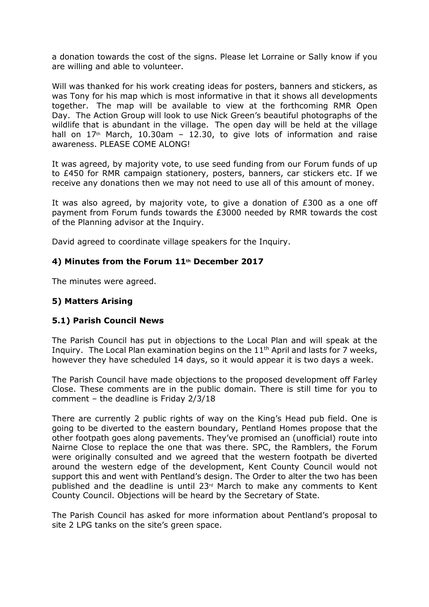a donation towards the cost of the signs. Please let Lorraine or Sally know if you are willing and able to volunteer.

Will was thanked for his work creating ideas for posters, banners and stickers, as was Tony for his map which is most informative in that it shows all developments together. The map will be available to view at the forthcoming RMR Open Day. The Action Group will look to use Nick Green's beautiful photographs of the wildlife that is abundant in the village. The open day will be held at the village hall on  $17<sup>th</sup>$  March, 10.30am - 12.30, to give lots of information and raise awareness. PLEASE COME ALONG!

It was agreed, by majority vote, to use seed funding from our Forum funds of up to £450 for RMR campaign stationery, posters, banners, car stickers etc. If we receive any donations then we may not need to use all of this amount of money.

It was also agreed, by majority vote, to give a donation of  $E300$  as a one off payment from Forum funds towards the £3000 needed by RMR towards the cost of the Planning advisor at the Inquiry.

David agreed to coordinate village speakers for the Inquiry.

#### **4) Minutes from the Forum 11th December 2017**

The minutes were agreed.

#### **5) Matters Arising**

# **5.1) Parish Council News**

The Parish Council has put in objections to the Local Plan and will speak at the Inquiry. The Local Plan examination begins on the  $11<sup>th</sup>$  April and lasts for 7 weeks, however they have scheduled 14 days, so it would appear it is two days a week.

The Parish Council have made objections to the proposed development off Farley Close. These comments are in the public domain. There is still time for you to comment – the deadline is Friday 2/3/18

There are currently 2 public rights of way on the King's Head pub field. One is going to be diverted to the eastern boundary, Pentland Homes propose that the other footpath goes along pavements. They've promised an (unofficial) route into Nairne Close to replace the one that was there. SPC, the Ramblers, the Forum were originally consulted and we agreed that the western footpath be diverted around the western edge of the development, Kent County Council would not support this and went with Pentland's design. The Order to alter the two has been published and the deadline is until 23rd March to make any comments to Kent County Council. Objections will be heard by the Secretary of State.

The Parish Council has asked for more information about Pentland's proposal to site 2 LPG tanks on the site's green space.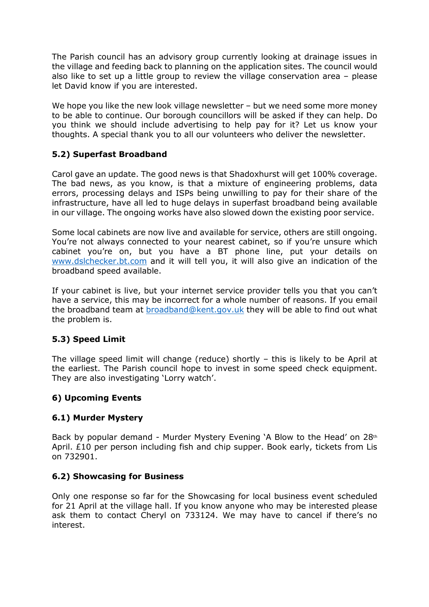The Parish council has an advisory group currently looking at drainage issues in the village and feeding back to planning on the application sites. The council would also like to set up a little group to review the village conservation area – please let David know if you are interested.

We hope you like the new look village newsletter – but we need some more money to be able to continue. Our borough councillors will be asked if they can help. Do you think we should include advertising to help pay for it? Let us know your thoughts. A special thank you to all our volunteers who deliver the newsletter.

# **5.2) Superfast Broadband**

Carol gave an update. The good news is that Shadoxhurst will get 100% coverage. The bad news, as you know, is that a mixture of engineering problems, data errors, processing delays and ISPs being unwilling to pay for their share of the infrastructure, have all led to huge delays in superfast broadband being available in our village. The ongoing works have also slowed down the existing poor service.

Some local cabinets are now live and available for service, others are still ongoing. You're not always connected to your nearest cabinet, so if you're unsure which cabinet you're on, but you have a BT phone line, put your details on www.dslchecker.bt.com and it will tell you, it will also give an indication of the broadband speed available.

If your cabinet is live, but your internet service provider tells you that you can't have a service, this may be incorrect for a whole number of reasons. If you email the broadband team at broadband@kent.gov.uk they will be able to find out what the problem is.

# **5.3) Speed Limit**

The village speed limit will change (reduce) shortly – this is likely to be April at the earliest. The Parish council hope to invest in some speed check equipment. They are also investigating 'Lorry watch'.

# **6) Upcoming Events**

# **6.1) Murder Mystery**

Back by popular demand - Murder Mystery Evening 'A Blow to the Head' on 28th April. £10 per person including fish and chip supper. Book early, tickets from Lis on 732901.

# **6.2) Showcasing for Business**

Only one response so far for the Showcasing for local business event scheduled for 21 April at the village hall. If you know anyone who may be interested please ask them to contact Cheryl on 733124. We may have to cancel if there's no interest.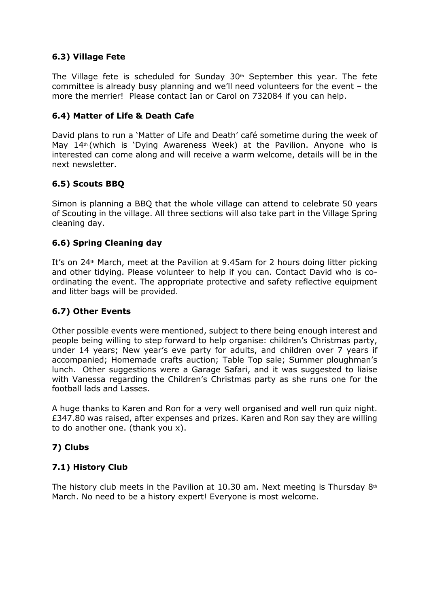## **6.3) Village Fete**

The Village fete is scheduled for Sunday  $30<sup>th</sup>$  September this year. The fete committee is already busy planning and we'll need volunteers for the event – the more the merrier! Please contact Ian or Carol on 732084 if you can help.

## **6.4) Matter of Life & Death Cafe**

David plans to run a 'Matter of Life and Death' café sometime during the week of May  $14<sup>th</sup>$  (which is 'Dying Awareness Week) at the Pavilion. Anyone who is interested can come along and will receive a warm welcome, details will be in the next newsletter.

# **6.5) Scouts BBQ**

Simon is planning a BBQ that the whole village can attend to celebrate 50 years of Scouting in the village. All three sections will also take part in the Village Spring cleaning day.

## **6.6) Spring Cleaning day**

It's on  $24<sup>th</sup>$  March, meet at the Pavilion at 9.45am for 2 hours doing litter picking and other tidying. Please volunteer to help if you can. Contact David who is coordinating the event. The appropriate protective and safety reflective equipment and litter bags will be provided.

#### **6.7) Other Events**

Other possible events were mentioned, subject to there being enough interest and people being willing to step forward to help organise: children's Christmas party, under 14 years; New year's eve party for adults, and children over 7 years if accompanied; Homemade crafts auction; Table Top sale; Summer ploughman's lunch. Other suggestions were a Garage Safari, and it was suggested to liaise with Vanessa regarding the Children's Christmas party as she runs one for the football lads and Lasses.

A huge thanks to Karen and Ron for a very well organised and well run quiz night. £347.80 was raised, after expenses and prizes. Karen and Ron say they are willing to do another one. (thank you x).

# **7) Clubs**

#### **7.1) History Club**

The history club meets in the Pavilion at 10.30 am. Next meeting is Thursday  $8<sup>th</sup>$ March. No need to be a history expert! Everyone is most welcome.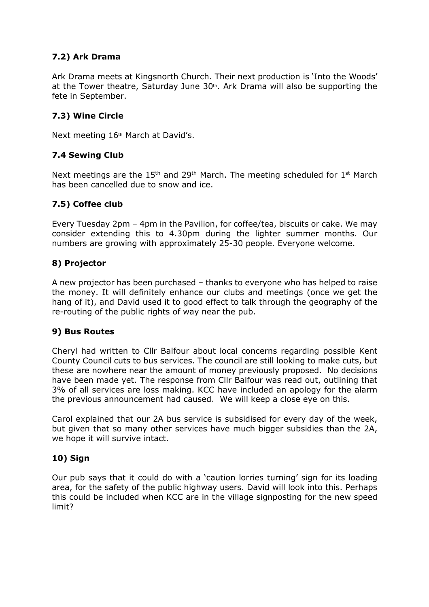# **7.2) Ark Drama**

Ark Drama meets at Kingsnorth Church. Their next production is 'Into the Woods' at the Tower theatre, Saturday June  $30<sup>th</sup>$ . Ark Drama will also be supporting the fete in September.

# **7.3) Wine Circle**

Next meeting 16<sup>th</sup> March at David's.

## **7.4 Sewing Club**

Next meetings are the  $15<sup>th</sup>$  and  $29<sup>th</sup>$  March. The meeting scheduled for  $1<sup>st</sup>$  March has been cancelled due to snow and ice.

## **7.5) Coffee club**

Every Tuesday 2pm – 4pm in the Pavilion, for coffee/tea, biscuits or cake. We may consider extending this to 4.30pm during the lighter summer months. Our numbers are growing with approximately 25-30 people. Everyone welcome.

## **8) Projector**

A new projector has been purchased – thanks to everyone who has helped to raise the money. It will definitely enhance our clubs and meetings (once we get the hang of it), and David used it to good effect to talk through the geography of the re-routing of the public rights of way near the pub.

#### **9) Bus Routes**

Cheryl had written to Cllr Balfour about local concerns regarding possible Kent County Council cuts to bus services. The council are still looking to make cuts, but these are nowhere near the amount of money previously proposed. No decisions have been made yet. The response from Cllr Balfour was read out, outlining that 3% of all services are loss making. KCC have included an apology for the alarm the previous announcement had caused. We will keep a close eye on this.

Carol explained that our 2A bus service is subsidised for every day of the week, but given that so many other services have much bigger subsidies than the 2A, we hope it will survive intact.

#### **10) Sign**

Our pub says that it could do with a 'caution lorries turning' sign for its loading area, for the safety of the public highway users. David will look into this. Perhaps this could be included when KCC are in the village signposting for the new speed limit?